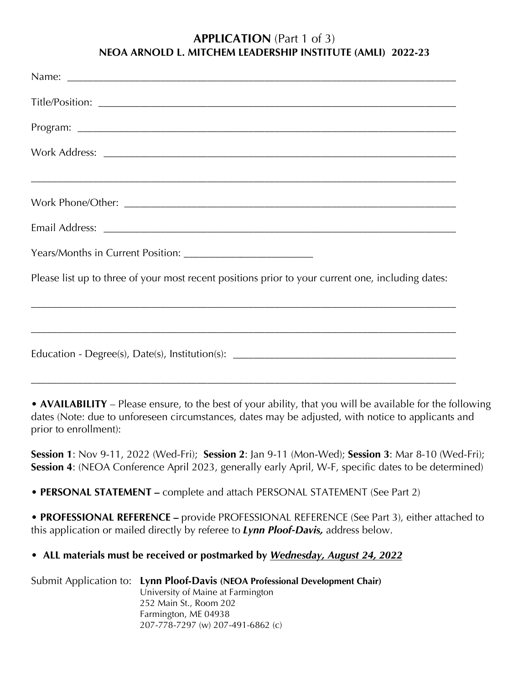#### **APPLICATION** (Part 1 of 3) **NEOA ARNOLD L. MITCHEM LEADERSHIP INSTITUTE (AMLI) 2022-23**

| ,我们也不会有什么。""我们的人,我们也不会有什么?""我们的人,我们也不会有什么?""我们的人,我们也不会有什么?""我们的人,我们也不会有什么?""我们的人                  |
|---------------------------------------------------------------------------------------------------|
|                                                                                                   |
|                                                                                                   |
|                                                                                                   |
| Please list up to three of your most recent positions prior to your current one, including dates: |
|                                                                                                   |
|                                                                                                   |

**• AVAILABILITY** – Please ensure, to the best of your ability, that you will be available for the following dates (Note: due to unforeseen circumstances, dates may be adjusted, with notice to applicants and prior to enrollment):

**Session 1**: Nov 9-11, 2022 (Wed-Fri); **Session 2**: Jan 9-11 (Mon-Wed); **Session 3**: Mar 8-10 (Wed-Fri); **Session 4**: (NEOA Conference April 2023, generally early April, W-F, specific dates to be determined)

**• PERSONAL STATEMENT –** complete and attach PERSONAL STATEMENT (See Part 2)

**• PROFESSIONAL REFERENCE –** provide PROFESSIONAL REFERENCE (See Part 3), either attached to this application or mailed directly by referee to *Lynn Ploof-Davis,* address below.

### **• ALL materials must be received or postmarked by** *Wednesday, August 24, 2022*

Submit Application to: **Lynn Ploof-Davis (NEOA Professional Development Chair)** University of Maine at Farmington 252 Main St., Room 202 Farmington, ME 04938 207-778-7297 (w) 207-491-6862 (c)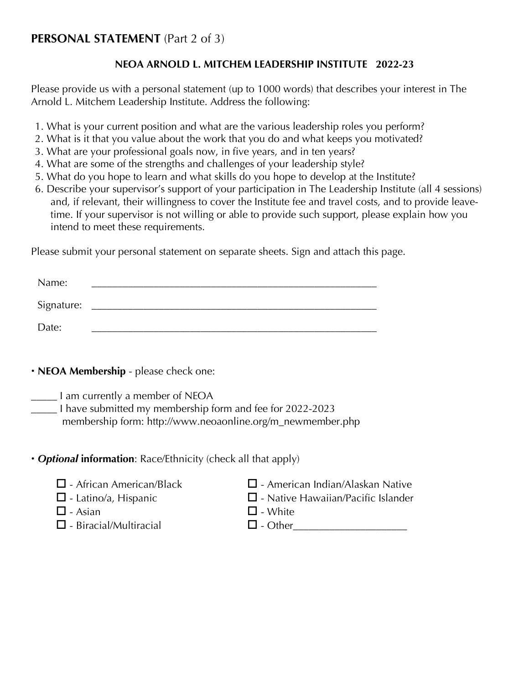# **PERSONAL STATEMENT** (Part 2 of 3)

### **NEOA ARNOLD L. MITCHEM LEADERSHIP INSTITUTE 2022-23**

Please provide us with a personal statement (up to 1000 words) that describes your interest in The Arnold L. Mitchem Leadership Institute. Address the following:

- 1. What is your current position and what are the various leadership roles you perform?
- 2. What is it that you value about the work that you do and what keeps you motivated?
- 3. What are your professional goals now, in five years, and in ten years?
- 4. What are some of the strengths and challenges of your leadership style?
- 5. What do you hope to learn and what skills do you hope to develop at the Institute?
- 6. Describe your supervisor's support of your participation in The Leadership Institute (all 4 sessions) and, if relevant, their willingness to cover the Institute fee and travel costs, and to provide leavetime. If your supervisor is not willing or able to provide such support, please explain how you intend to meet these requirements.

Please submit your personal statement on separate sheets. Sign and attach this page.

| Name:      |  |  |  |
|------------|--|--|--|
| Signature: |  |  |  |
| Date:      |  |  |  |

• **NEOA Membership** - please check one:

\_\_\_\_\_ I am currently a member of NEOA

\_\_\_\_\_ I have submitted my membership form and fee for 2022-2023 membership form: http://www.neoaonline.org/m\_newmember.php

# **•** *Optional* **information**: Race/Ethnicity (check all that apply)

- 
- 
- $\square$  Asian  $\square$  White
- $\square$  Biracial/Multiracial  $\square$  Other
- $\Box$  African American/Black  $\Box$  American Indian/Alaskan Native
- $\square$  Latino/a, Hispanic  $\square$  Native Hawaiian/Pacific Islander
	-
	-